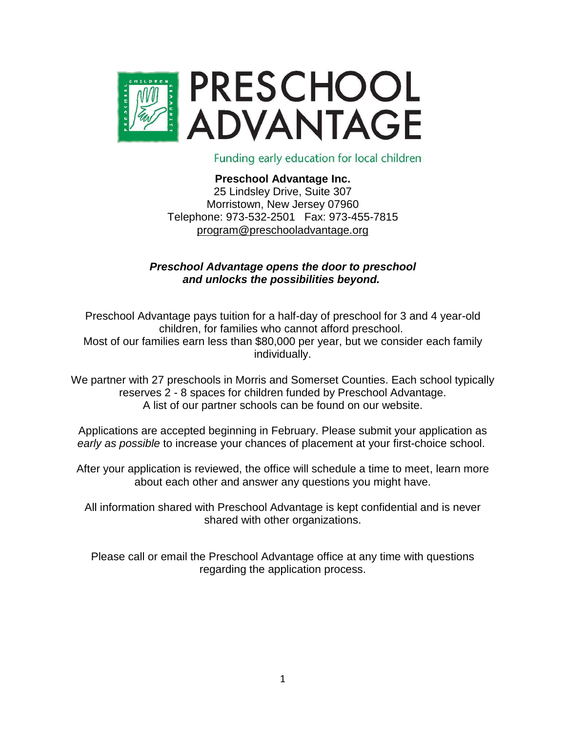

Funding early education for local children

#### **Preschool Advantage Inc.** 25 Lindsley Drive, Suite 307 Morristown, New Jersey 07960 Telephone: 973-532-2501 Fax: 973-455-7815 [program@preschooladvantage.org](mailto:program@preschooladvantage.org)

#### *Preschool Advantage opens the door to preschool and unlocks the possibilities beyond.*

Preschool Advantage pays tuition for a half-day of preschool for 3 and 4 year-old children, for families who cannot afford preschool. Most of our families earn less than \$80,000 per year, but we consider each family individually.

We partner with 27 preschools in Morris and Somerset Counties. Each school typically reserves 2 - 8 spaces for children funded by Preschool Advantage. A list of our partner schools can be found on our website.

Applications are accepted beginning in February. Please submit your application as *early as possible* to increase your chances of placement at your first-choice school.

After your application is reviewed, the office will schedule a time to meet, learn more about each other and answer any questions you might have.

All information shared with Preschool Advantage is kept confidential and is never shared with other organizations.

Please call or email the Preschool Advantage office at any time with questions regarding the application process.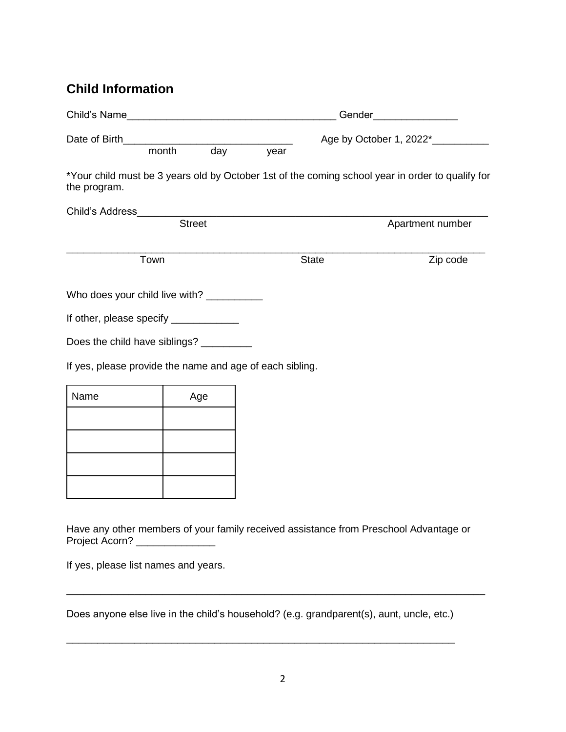# **Child Information**

| Child's Name <b>Example 2018</b>                         |               |      |                                    | Gender________________ |                                                                                                  |  |
|----------------------------------------------------------|---------------|------|------------------------------------|------------------------|--------------------------------------------------------------------------------------------------|--|
| month<br>day                                             |               | year | Age by October 1, 2022*___________ |                        |                                                                                                  |  |
| the program.                                             |               |      |                                    |                        | *Your child must be 3 years old by October 1st of the coming school year in order to qualify for |  |
|                                                          |               |      |                                    |                        |                                                                                                  |  |
|                                                          | <b>Street</b> |      |                                    |                        | Apartment number                                                                                 |  |
| Town                                                     |               |      |                                    | <b>State</b>           | Zip code                                                                                         |  |
| Who does your child live with? ___________               |               |      |                                    |                        |                                                                                                  |  |
| If other, please specify _____________                   |               |      |                                    |                        |                                                                                                  |  |
| Does the child have siblings? _________                  |               |      |                                    |                        |                                                                                                  |  |
| If yes, please provide the name and age of each sibling. |               |      |                                    |                        |                                                                                                  |  |
| Name                                                     | Age           |      |                                    |                        |                                                                                                  |  |
|                                                          |               |      |                                    |                        |                                                                                                  |  |
|                                                          |               |      |                                    |                        |                                                                                                  |  |
|                                                          |               |      |                                    |                        |                                                                                                  |  |
|                                                          |               |      |                                    |                        |                                                                                                  |  |
|                                                          |               |      |                                    |                        |                                                                                                  |  |

Have any other members of your family received assistance from Preschool Advantage or Project Acorn? \_\_\_\_\_\_\_\_\_\_\_\_\_\_\_\_\_

\_\_\_\_\_\_\_\_\_\_\_\_\_\_\_\_\_\_\_\_\_\_\_\_\_\_\_\_\_\_\_\_\_\_\_\_\_\_\_\_\_\_\_\_\_\_\_\_\_\_\_\_\_\_\_\_\_\_\_\_\_\_\_\_\_\_\_\_\_\_\_\_\_\_

If yes, please list names and years.

Does anyone else live in the child's household? (e.g. grandparent(s), aunt, uncle, etc.)

\_\_\_\_\_\_\_\_\_\_\_\_\_\_\_\_\_\_\_\_\_\_\_\_\_\_\_\_\_\_\_\_\_\_\_\_\_\_\_\_\_\_\_\_\_\_\_\_\_\_\_\_\_\_\_\_\_\_\_\_\_\_\_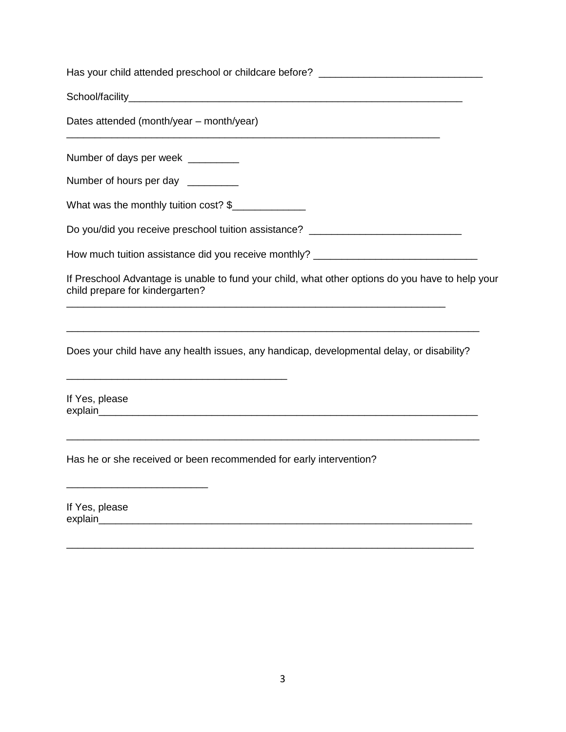| Has your child attended preschool or childcare before? _________________________                                                    |
|-------------------------------------------------------------------------------------------------------------------------------------|
|                                                                                                                                     |
| Dates attended (month/year – month/year)                                                                                            |
| Number of days per week ________                                                                                                    |
| Number of hours per day _________                                                                                                   |
| What was the monthly tuition cost? \$                                                                                               |
| Do you/did you receive preschool tuition assistance? ___________________________                                                    |
| How much tuition assistance did you receive monthly? ____________________________                                                   |
| If Preschool Advantage is unable to fund your child, what other options do you have to help your<br>child prepare for kindergarten? |
|                                                                                                                                     |
| Does your child have any health issues, any handicap, developmental delay, or disability?                                           |
| If Yes, please                                                                                                                      |
| Has he or she received or been recommended for early intervention?                                                                  |
| If Yes, please<br>explain                                                                                                           |

\_\_\_\_\_\_\_\_\_\_\_\_\_\_\_\_\_\_\_\_\_\_\_\_\_\_\_\_\_\_\_\_\_\_\_\_\_\_\_\_\_\_\_\_\_\_\_\_\_\_\_\_\_\_\_\_\_\_\_\_\_\_\_\_\_\_\_\_\_\_\_\_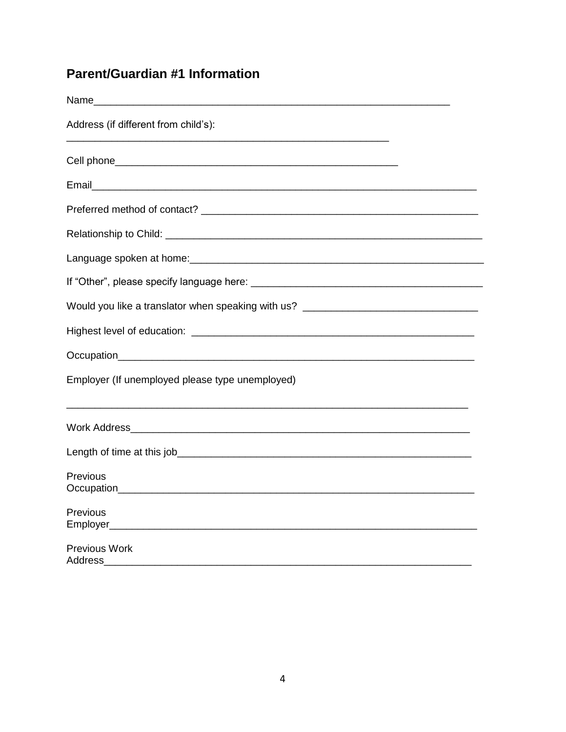# **Parent/Guardian #1 Information**

| Name                                                                             |
|----------------------------------------------------------------------------------|
| Address (if different from child's):                                             |
|                                                                                  |
|                                                                                  |
|                                                                                  |
|                                                                                  |
|                                                                                  |
|                                                                                  |
| Would you like a translator when speaking with us? _____________________________ |
|                                                                                  |
|                                                                                  |
| Employer (If unemployed please type unemployed)                                  |
|                                                                                  |
|                                                                                  |
| Previous                                                                         |
| Previous                                                                         |
| Previous Work<br>Address                                                         |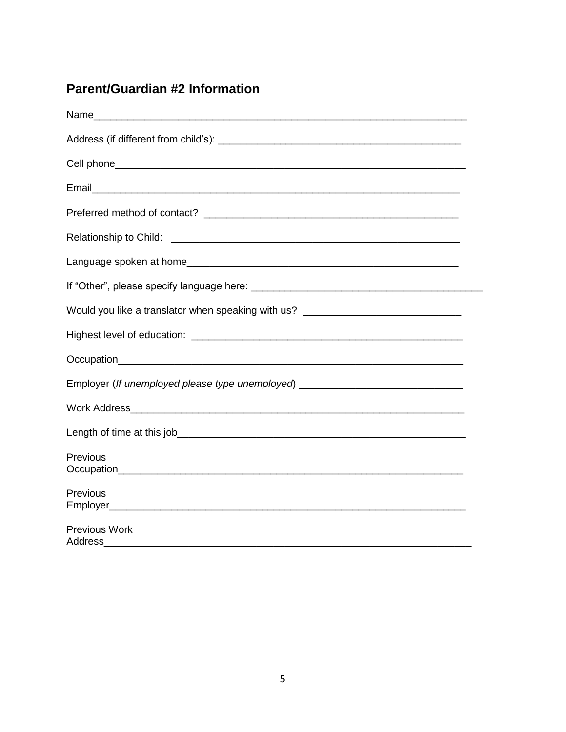# **Parent/Guardian #2 Information**

| Would you like a translator when speaking with us? _____________________________ |
|----------------------------------------------------------------------------------|
|                                                                                  |
|                                                                                  |
| Employer (If unemployed please type unemployed) ________________________________ |
|                                                                                  |
|                                                                                  |
| <b>Previous</b>                                                                  |
| Previous                                                                         |
| <b>Previous Work</b><br>Address                                                  |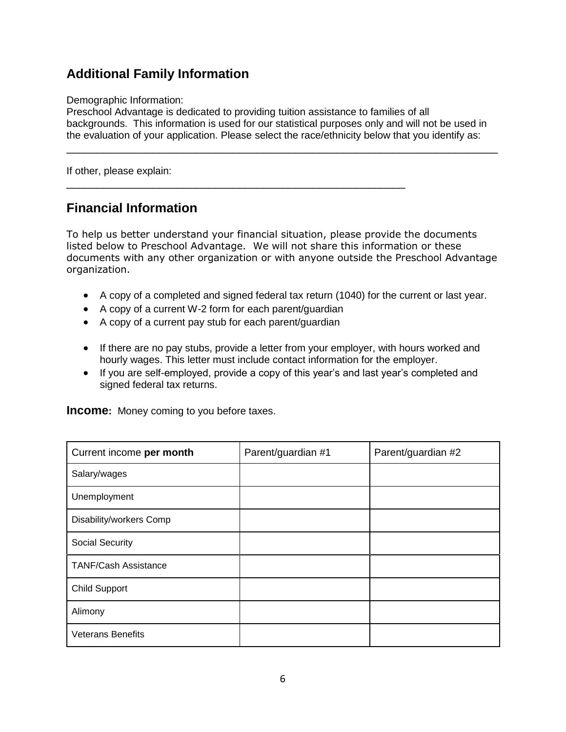# **Additional Family Information**

#### Demographic Information:

Preschool Advantage is dedicated to providing tuition assistance to families of all backgrounds. This information is used for our statistical purposes only and will not be used in the evaluation of your application. Please select the race/ethnicity below that you identify as:

\_\_\_\_\_\_\_\_\_\_\_\_\_\_\_\_\_\_\_\_\_\_\_\_\_\_\_\_\_\_\_\_\_\_\_\_\_\_\_\_\_\_\_\_\_\_\_\_\_\_\_\_\_\_\_\_\_\_\_\_\_\_\_\_\_\_\_\_\_\_

If other, please explain:

### **Financial Information**

To help us better understand your financial situation, please provide the documents listed below to Preschool Advantage. We will not share this information or these documents with any other organization or with anyone outside the Preschool Advantage organization.

- A copy of a completed and signed federal tax return (1040) for the current or last year.
- A copy of a current W-2 form for each parent/guardian

\_\_\_\_\_\_\_\_\_\_\_\_\_\_\_\_\_\_\_\_\_\_\_\_\_\_\_\_\_\_\_\_\_\_\_\_\_\_\_\_\_\_\_\_\_\_\_\_\_\_\_\_\_\_\_

- A copy of a current pay stub for each parent/guardian
- If there are no pay stubs, provide a letter from your employer, with hours worked and hourly wages. This letter must include contact information for the employer.
- If you are self-employed, provide a copy of this year's and last year's completed and signed federal tax returns.

**Income:** Money coming to you before taxes.

| Current income per month    | Parent/guardian #1 | Parent/guardian #2 |
|-----------------------------|--------------------|--------------------|
| Salary/wages                |                    |                    |
| Unemployment                |                    |                    |
| Disability/workers Comp     |                    |                    |
| <b>Social Security</b>      |                    |                    |
| <b>TANF/Cash Assistance</b> |                    |                    |
| <b>Child Support</b>        |                    |                    |
| Alimony                     |                    |                    |
| <b>Veterans Benefits</b>    |                    |                    |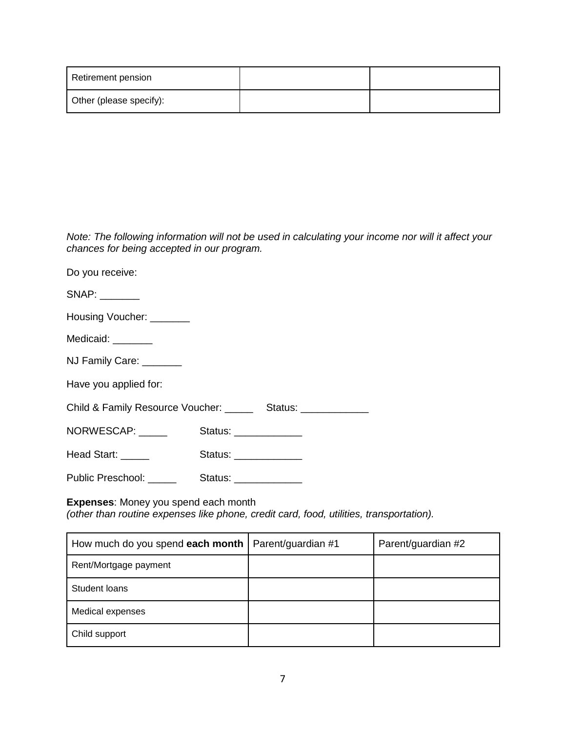| Retirement pension      |  |
|-------------------------|--|
| Other (please specify): |  |

*Note: The following information will not be used in calculating your income nor will it affect your chances for being accepted in our program.*

| Do you receive:                                                                                                                                                                                                                |                        |  |
|--------------------------------------------------------------------------------------------------------------------------------------------------------------------------------------------------------------------------------|------------------------|--|
|                                                                                                                                                                                                                                |                        |  |
| Housing Voucher: _______                                                                                                                                                                                                       |                        |  |
| Medicaid: _______                                                                                                                                                                                                              |                        |  |
| NJ Family Care: _______                                                                                                                                                                                                        |                        |  |
| Have you applied for:                                                                                                                                                                                                          |                        |  |
| Child & Family Resource Voucher: ________ Status: _____________                                                                                                                                                                |                        |  |
| NORWESCAP: _____                                                                                                                                                                                                               | Status: ______________ |  |
| Head Start: Next Start Start Start Start Start Start Start Start Start Start Start Start Start Start Start Start Start Start Start Start Start Start Start Start Start Start Start Start Start Start Start Start Start Start S | Status: ______________ |  |
| Public Preschool:                                                                                                                                                                                                              | Status: ______________ |  |

#### **Expenses**: Money you spend each month

*(other than routine expenses like phone, credit card, food, utilities, transportation).*

| How much do you spend each month | Parent/guardian #1 | Parent/guardian #2 |
|----------------------------------|--------------------|--------------------|
| Rent/Mortgage payment            |                    |                    |
| Student loans                    |                    |                    |
| Medical expenses                 |                    |                    |
| Child support                    |                    |                    |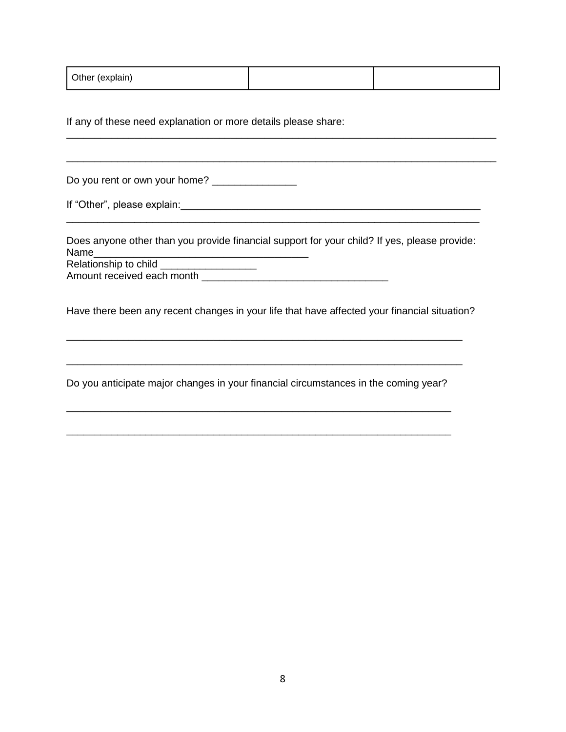| Other (explain) |  |  |
|-----------------|--|--|
|-----------------|--|--|

\_\_\_\_\_\_\_\_\_\_\_\_\_\_\_\_\_\_\_\_\_\_\_\_\_\_\_\_\_\_\_\_\_\_\_\_\_\_\_\_\_\_\_\_\_\_\_\_\_\_\_\_\_\_\_\_\_\_\_\_\_\_\_\_\_\_\_\_\_\_\_\_\_\_\_\_

\_\_\_\_\_\_\_\_\_\_\_\_\_\_\_\_\_\_\_\_\_\_\_\_\_\_\_\_\_\_\_\_\_\_\_\_\_\_\_\_\_\_\_\_\_\_\_\_\_\_\_\_\_\_\_\_\_\_\_\_\_\_\_\_\_\_\_\_\_\_\_\_\_\_\_\_

If any of these need explanation or more details please share:

Do you rent or own your home? \_\_\_\_\_\_\_\_\_\_\_\_\_\_\_

If "Other", please explain: which is a set of the set of the set of the set of the set of the set of the set of the set of the set of the set of the set of the set of the set of the set of the set of the set of the set of

Does anyone other than you provide financial support for your child? If yes, please provide: Name\_\_\_\_\_\_\_\_\_\_\_\_\_\_\_\_\_\_\_\_\_\_\_\_\_\_\_\_\_\_\_\_\_\_\_\_\_\_

\_\_\_\_\_\_\_\_\_\_\_\_\_\_\_\_\_\_\_\_\_\_\_\_\_\_\_\_\_\_\_\_\_\_\_\_\_\_\_\_\_\_\_\_\_\_\_\_\_\_\_\_\_\_\_\_\_\_\_\_\_\_\_\_\_\_\_

Relationship to child \_\_\_\_\_\_\_\_\_\_\_\_\_\_\_\_\_ Amount received each month \_\_\_\_\_\_\_\_\_\_\_\_\_\_\_\_\_\_\_\_\_\_\_\_\_\_\_\_\_\_\_\_\_

Have there been any recent changes in your life that have affected your financial situation?

\_\_\_\_\_\_\_\_\_\_\_\_\_\_\_\_\_\_\_\_\_\_\_\_\_\_\_\_\_\_\_\_\_\_\_\_\_\_\_\_\_\_\_\_\_\_\_\_\_\_\_\_\_\_\_\_\_\_\_\_\_\_\_\_\_\_\_\_\_\_

\_\_\_\_\_\_\_\_\_\_\_\_\_\_\_\_\_\_\_\_\_\_\_\_\_\_\_\_\_\_\_\_\_\_\_\_\_\_\_\_\_\_\_\_\_\_\_\_\_\_\_\_\_\_\_\_\_\_\_\_\_\_\_\_\_\_\_\_\_\_

Do you anticipate major changes in your financial circumstances in the coming year?

\_\_\_\_\_\_\_\_\_\_\_\_\_\_\_\_\_\_\_\_\_\_\_\_\_\_\_\_\_\_\_\_\_\_\_\_\_\_\_\_\_\_\_\_\_\_\_\_\_\_\_\_\_\_\_\_\_\_\_\_\_\_\_\_\_\_\_\_

\_\_\_\_\_\_\_\_\_\_\_\_\_\_\_\_\_\_\_\_\_\_\_\_\_\_\_\_\_\_\_\_\_\_\_\_\_\_\_\_\_\_\_\_\_\_\_\_\_\_\_\_\_\_\_\_\_\_\_\_\_\_\_\_\_\_\_\_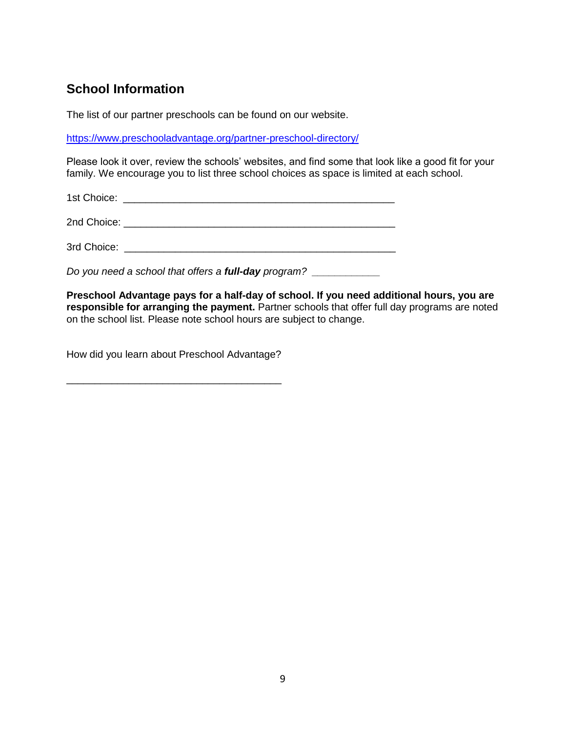# **School Information**

The list of our partner preschools can be found on our website.

<https://www.preschooladvantage.org/partner-preschool-directory/>

Please look it over, review the schools' websites, and find some that look like a good fit for your family. We encourage you to list three school choices as space is limited at each school.

1st Choice: \_\_\_\_\_\_\_\_\_\_\_\_\_\_\_\_\_\_\_\_\_\_\_\_\_\_\_\_\_\_\_\_\_\_\_\_\_\_\_\_\_\_\_\_\_\_\_\_

2nd Choice: **with a set of the set of the set of the set of the set of the set of the set of the set of the set of the set of the set of the set of the set of the set of the set of the set of the set of the set of the set** 

3rd Choice: \_\_\_\_\_\_\_\_\_\_\_\_\_\_\_\_\_\_\_\_\_\_\_\_\_\_\_\_\_\_\_\_\_\_\_\_\_\_\_\_\_\_\_\_\_\_\_\_

*Do you need a school that offers a <i>full-day program?* 

**Preschool Advantage pays for a half-day of school. If you need additional hours, you are responsible for arranging the payment.** Partner schools that offer full day programs are noted on the school list. Please note school hours are subject to change.

How did you learn about Preschool Advantage?

\_\_\_\_\_\_\_\_\_\_\_\_\_\_\_\_\_\_\_\_\_\_\_\_\_\_\_\_\_\_\_\_\_\_\_\_\_\_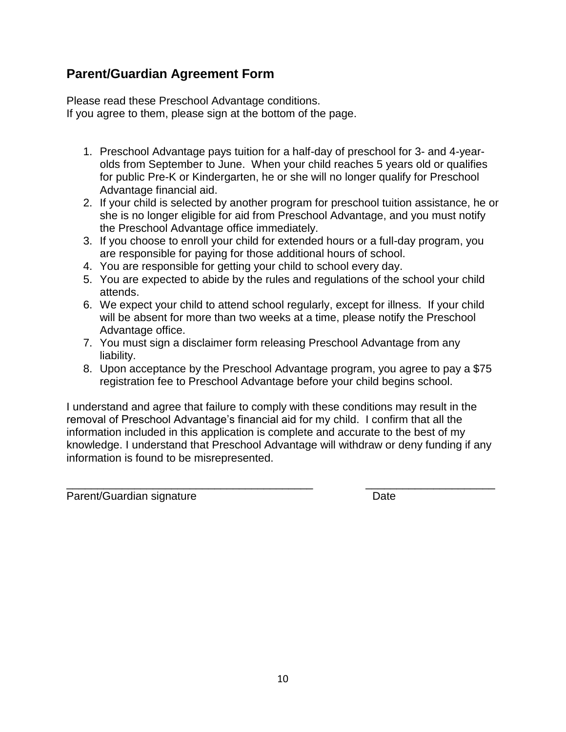### **Parent/Guardian Agreement Form**

Please read these Preschool Advantage conditions. If you agree to them, please sign at the bottom of the page.

- 1. Preschool Advantage pays tuition for a half-day of preschool for 3- and 4-yearolds from September to June. When your child reaches 5 years old or qualifies for public Pre-K or Kindergarten, he or she will no longer qualify for Preschool Advantage financial aid.
- 2. If your child is selected by another program for preschool tuition assistance, he or she is no longer eligible for aid from Preschool Advantage, and you must notify the Preschool Advantage office immediately.
- 3. If you choose to enroll your child for extended hours or a full-day program, you are responsible for paying for those additional hours of school.
- 4. You are responsible for getting your child to school every day.
- 5. You are expected to abide by the rules and regulations of the school your child attends.
- 6. We expect your child to attend school regularly, except for illness. If your child will be absent for more than two weeks at a time, please notify the Preschool Advantage office.
- 7. You must sign a disclaimer form releasing Preschool Advantage from any liability.
- 8. Upon acceptance by the Preschool Advantage program, you agree to pay a \$75 registration fee to Preschool Advantage before your child begins school.

I understand and agree that failure to comply with these conditions may result in the removal of Preschool Advantage's financial aid for my child. I confirm that all the information included in this application is complete and accurate to the best of my knowledge. I understand that Preschool Advantage will withdraw or deny funding if any information is found to be misrepresented.

\_\_\_\_\_\_\_\_\_\_\_\_\_\_\_\_\_\_\_\_\_\_\_\_\_\_\_\_\_\_\_\_\_\_\_\_\_\_\_\_ \_\_\_\_\_\_\_\_\_\_\_\_\_\_\_\_\_\_\_\_\_

Parent/Guardian signature Date Date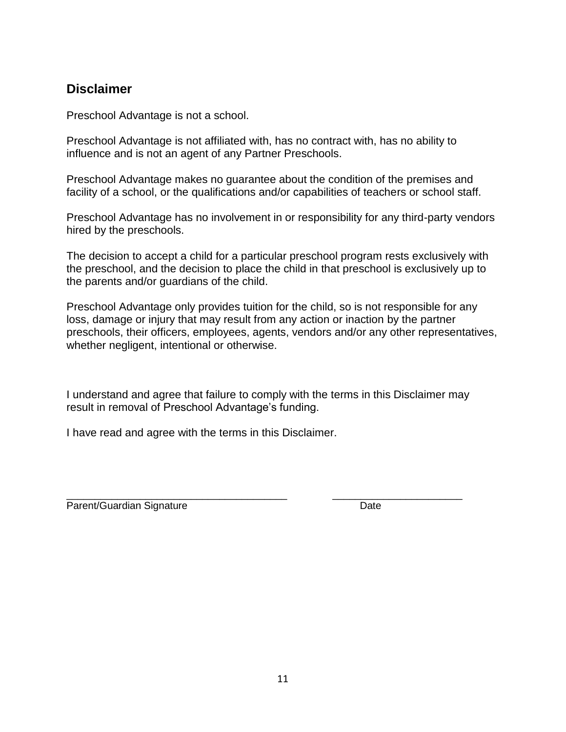### **Disclaimer**

Preschool Advantage is not a school.

Preschool Advantage is not affiliated with, has no contract with, has no ability to influence and is not an agent of any Partner Preschools.

Preschool Advantage makes no guarantee about the condition of the premises and facility of a school, or the qualifications and/or capabilities of teachers or school staff.

Preschool Advantage has no involvement in or responsibility for any third-party vendors hired by the preschools.

The decision to accept a child for a particular preschool program rests exclusively with the preschool, and the decision to place the child in that preschool is exclusively up to the parents and/or guardians of the child.

Preschool Advantage only provides tuition for the child, so is not responsible for any loss, damage or injury that may result from any action or inaction by the partner preschools, their officers, employees, agents, vendors and/or any other representatives, whether negligent, intentional or otherwise.

I understand and agree that failure to comply with the terms in this Disclaimer may result in removal of Preschool Advantage's funding.

I have read and agree with the terms in this Disclaimer.

\_\_\_\_\_\_\_\_\_\_\_\_\_\_\_\_\_\_\_\_\_\_\_\_\_\_\_\_\_\_\_\_\_\_\_\_\_\_\_ \_\_\_\_\_\_\_\_\_\_\_\_\_\_\_\_\_\_\_\_\_\_\_ Parent/Guardian Signature Date Date